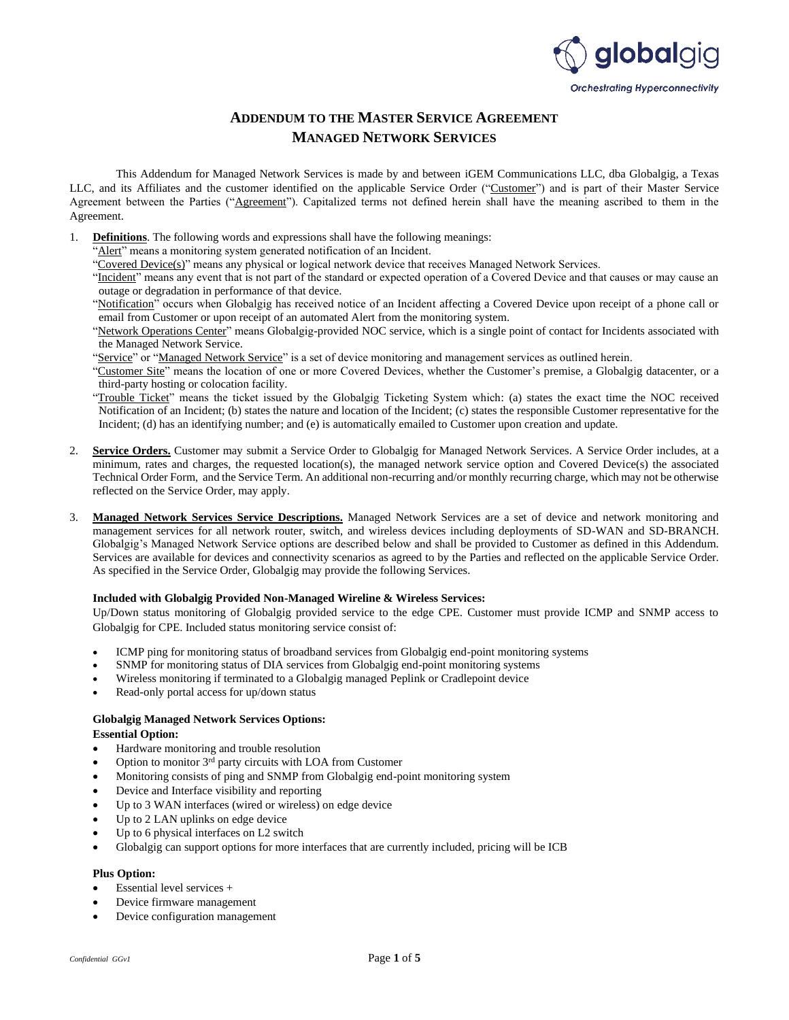

# **ADDENDUM TO THE MASTER SERVICE AGREEMENT MANAGED NETWORK SERVICES**

This Addendum for Managed Network Services is made by and between iGEM Communications LLC, dba Globalgig, a Texas LLC, and its Affiliates and the customer identified on the applicable Service Order ("Customer") and is part of their Master Service Agreement between the Parties ("Agreement"). Capitalized terms not defined herein shall have the meaning ascribed to them in the Agreement.

- 1. **Definitions**. The following words and expressions shall have the following meanings:
	- Alert" means a monitoring system generated notification of an Incident.
	- "Covered Device(s)" means any physical or logical network device that receives Managed Network Services.
	- "Incident" means any event that is not part of the standard or expected operation of a Covered Device and that causes or may cause an outage or degradation in performance of that device.
	- "Notification" occurs when Globalgig has received notice of an Incident affecting a Covered Device upon receipt of a phone call or email from Customer or upon receipt of an automated Alert from the monitoring system.
	- "Network Operations Center" means Globalgig-provided NOC service, which is a single point of contact for Incidents associated with the Managed Network Service.
	- "Service" or "Managed Network Service" is a set of device monitoring and management services as outlined herein.
	- "Customer Site" means the location of one or more Covered Devices, whether the Customer's premise, a Globalgig datacenter, or a third-party hosting or colocation facility.
	- "Trouble Ticket" means the ticket issued by the Globalgig Ticketing System which: (a) states the exact time the NOC received Notification of an Incident; (b) states the nature and location of the Incident; (c) states the responsible Customer representative for the Incident; (d) has an identifying number; and (e) is automatically emailed to Customer upon creation and update.
- 2. **Service Orders.** Customer may submit a Service Order to Globalgig for Managed Network Services. A Service Order includes, at a minimum, rates and charges, the requested location(s), the managed network service option and Covered Device(s) the associated Technical Order Form, and the Service Term. An additional non-recurring and/or monthly recurring charge, which may not be otherwise reflected on the Service Order, may apply.
- 3. **Managed Network Services Service Descriptions.** Managed Network Services are a set of device and network monitoring and management services for all network router, switch, and wireless devices including deployments of SD-WAN and SD-BRANCH. Globalgig's Managed Network Service options are described below and shall be provided to Customer as defined in this Addendum. Services are available for devices and connectivity scenarios as agreed to by the Parties and reflected on the applicable Service Order. As specified in the Service Order, Globalgig may provide the following Services.

# **Included with Globalgig Provided Non-Managed Wireline & Wireless Services:**

Up/Down status monitoring of Globalgig provided service to the edge CPE. Customer must provide ICMP and SNMP access to Globalgig for CPE. Included status monitoring service consist of:

- ICMP ping for monitoring status of broadband services from Globalgig end-point monitoring systems
- SNMP for monitoring status of DIA services from Globalgig end-point monitoring systems
- Wireless monitoring if terminated to a Globalgig managed Peplink or Cradlepoint device
- Read-only portal access for up/down status

# **Globalgig Managed Network Services Options:**

### **Essential Option:**

- Hardware monitoring and trouble resolution
- Option to monitor 3rd party circuits with LOA from Customer
- Monitoring consists of ping and SNMP from Globalgig end-point monitoring system
- Device and Interface visibility and reporting
- Up to 3 WAN interfaces (wired or wireless) on edge device
- Up to 2 LAN uplinks on edge device
- Up to 6 physical interfaces on L2 switch
- Globalgig can support options for more interfaces that are currently included, pricing will be ICB

## **Plus Option:**

- Essential level services +
- Device firmware management
- Device configuration management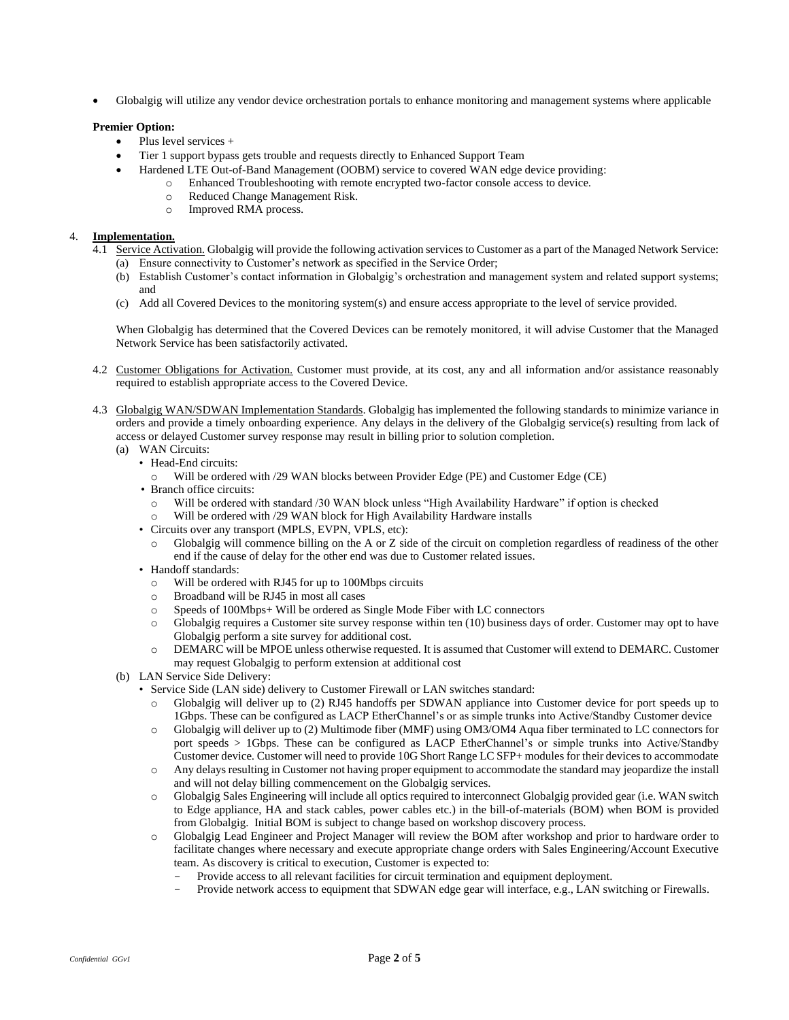• Globalgig will utilize any vendor device orchestration portals to enhance monitoring and management systems where applicable

# **Premier Option:**

- Plus level services +
- Tier 1 support bypass gets trouble and requests directly to Enhanced Support Team
- Hardened LTE Out-of-Band Management (OOBM) service to covered WAN edge device providing:
	- o Enhanced Troubleshooting with remote encrypted two-factor console access to device.
		- o Reduced Change Management Risk.
		- o Improved RMA process.

## 4. **Implementation.**

- 4.1 Service Activation. Globalgig will provide the following activation services to Customer as a part of the Managed Network Service: (a) Ensure connectivity to Customer's network as specified in the Service Order;
	- (b) Establish Customer's contact information in Globalgig's orchestration and management system and related support systems; and
	- (c) Add all Covered Devices to the monitoring system(s) and ensure access appropriate to the level of service provided.

When Globalgig has determined that the Covered Devices can be remotely monitored, it will advise Customer that the Managed Network Service has been satisfactorily activated.

- 4.2 Customer Obligations for Activation. Customer must provide, at its cost, any and all information and/or assistance reasonably required to establish appropriate access to the Covered Device.
- 4.3 Globalgig WAN/SDWAN Implementation Standards. Globalgig has implemented the following standards to minimize variance in orders and provide a timely onboarding experience. Any delays in the delivery of the Globalgig service(s) resulting from lack of access or delayed Customer survey response may result in billing prior to solution completion.
	- (a) WAN Circuits:
		- Head-End circuits:
			- o Will be ordered with /29 WAN blocks between Provider Edge (PE) and Customer Edge (CE)
		- Branch office circuits:
			- o Will be ordered with standard /30 WAN block unless "High Availability Hardware" if option is checked
			- Will be ordered with /29 WAN block for High Availability Hardware installs
		- Circuits over any transport (MPLS, EVPN, VPLS, etc):
		- Globalgig will commence billing on the A or Z side of the circuit on completion regardless of readiness of the other end if the cause of delay for the other end was due to Customer related issues.
		- Handoff standards:
			- o Will be ordered with RJ45 for up to 100Mbps circuits
			- o Broadband will be RJ45 in most all cases
			- o Speeds of 100Mbps+ Will be ordered as Single Mode Fiber with LC connectors
			- o Globalgig requires a Customer site survey response within ten (10) business days of order. Customer may opt to have Globalgig perform a site survey for additional cost.
			- o DEMARC will be MPOE unless otherwise requested. It is assumed that Customer will extend to DEMARC. Customer may request Globalgig to perform extension at additional cost
	- (b) LAN Service Side Delivery:
		- Service Side (LAN side) delivery to Customer Firewall or LAN switches standard:
			- o Globalgig will deliver up to (2) RJ45 handoffs per SDWAN appliance into Customer device for port speeds up to 1Gbps. These can be configured as LACP EtherChannel's or as simple trunks into Active/Standby Customer device
			- o Globalgig will deliver up to (2) Multimode fiber (MMF) using OM3/OM4 Aqua fiber terminated to LC connectors for port speeds > 1Gbps. These can be configured as LACP EtherChannel's or simple trunks into Active/Standby Customer device. Customer will need to provide 10G Short Range LC SFP+ modules for their devices to accommodate
			- o Any delays resulting in Customer not having proper equipment to accommodate the standard may jeopardize the install and will not delay billing commencement on the Globalgig services.
			- o Globalgig Sales Engineering will include all optics required to interconnect Globalgig provided gear (i.e. WAN switch to Edge appliance, HA and stack cables, power cables etc.) in the bill-of-materials (BOM) when BOM is provided from Globalgig. Initial BOM is subject to change based on workshop discovery process.
			- o Globalgig Lead Engineer and Project Manager will review the BOM after workshop and prior to hardware order to facilitate changes where necessary and execute appropriate change orders with Sales Engineering/Account Executive team. As discovery is critical to execution, Customer is expected to:
				- Provide access to all relevant facilities for circuit termination and equipment deployment.
				- Provide network access to equipment that SDWAN edge gear will interface, e.g., LAN switching or Firewalls.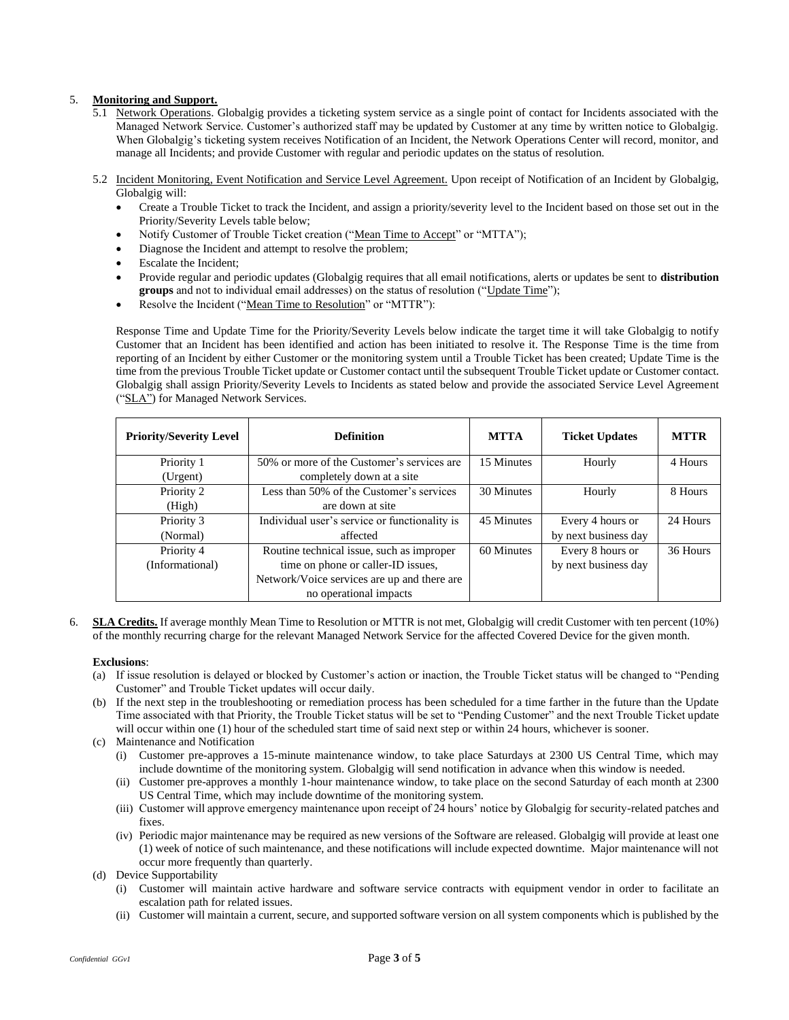# 5. **Monitoring and Support.**

- 5.1 Network Operations. Globalgig provides a ticketing system service as a single point of contact for Incidents associated with the Managed Network Service. Customer's authorized staff may be updated by Customer at any time by written notice to Globalgig. When Globalgig's ticketing system receives Notification of an Incident, the Network Operations Center will record, monitor, and manage all Incidents; and provide Customer with regular and periodic updates on the status of resolution.
- 5.2 Incident Monitoring, Event Notification and Service Level Agreement. Upon receipt of Notification of an Incident by Globalgig, Globalgig will:
	- Create a Trouble Ticket to track the Incident, and assign a priority/severity level to the Incident based on those set out in the Priority/Severity Levels table below;
	- Notify Customer of Trouble Ticket creation ("Mean Time to Accept" or "MTTA");
	- Diagnose the Incident and attempt to resolve the problem;
	- Escalate the Incident;
	- Provide regular and periodic updates (Globalgig requires that all email notifications, alerts or updates be sent to **distribution**  groups and not to individual email addresses) on the status of resolution ("Update Time");
	- Resolve the Incident ("Mean Time to Resolution" or "MTTR"):

Response Time and Update Time for the Priority/Severity Levels below indicate the target time it will take Globalgig to notify Customer that an Incident has been identified and action has been initiated to resolve it. The Response Time is the time from reporting of an Incident by either Customer or the monitoring system until a Trouble Ticket has been created; Update Time is the time from the previous Trouble Ticket update or Customer contact until the subsequent Trouble Ticket update or Customer contact. Globalgig shall assign Priority/Severity Levels to Incidents as stated below and provide the associated Service Level Agreement ("SLA") for Managed Network Services.

| <b>Priority/Severity Level</b> | <b>Definition</b>                             | <b>MTTA</b> | <b>Ticket Updates</b> | <b>MTTR</b> |
|--------------------------------|-----------------------------------------------|-------------|-----------------------|-------------|
| Priority 1                     | 50% or more of the Customer's services are    | 15 Minutes  | Hourly                | 4 Hours     |
| (Urgent)                       | completely down at a site                     |             |                       |             |
| Priority 2                     | Less than 50% of the Customer's services      | 30 Minutes  | Hourly                | 8 Hours     |
| (High)                         | are down at site                              |             |                       |             |
| Priority 3                     | Individual user's service or functionality is | 45 Minutes  | Every 4 hours or      | 24 Hours    |
| (Normal)                       | affected                                      |             | by next business day  |             |
| Priority 4                     | Routine technical issue, such as improper     | 60 Minutes  | Every 8 hours or      | 36 Hours    |
| (Informational)                | time on phone or caller-ID issues,            |             | by next business day  |             |
|                                | Network/Voice services are up and there are   |             |                       |             |
|                                | no operational impacts                        |             |                       |             |

6. **SLA Credits.** If average monthly Mean Time to Resolution or MTTR is not met, Globalgig will credit Customer with ten percent (10%) of the monthly recurring charge for the relevant Managed Network Service for the affected Covered Device for the given month.

### **Exclusions**:

- (a) If issue resolution is delayed or blocked by Customer's action or inaction, the Trouble Ticket status will be changed to "Pending Customer" and Trouble Ticket updates will occur daily.
- (b) If the next step in the troubleshooting or remediation process has been scheduled for a time farther in the future than the Update Time associated with that Priority, the Trouble Ticket status will be set to "Pending Customer" and the next Trouble Ticket update will occur within one (1) hour of the scheduled start time of said next step or within 24 hours, whichever is sooner.
- (c) Maintenance and Notification
	- (i) Customer pre-approves a 15-minute maintenance window, to take place Saturdays at 2300 US Central Time, which may include downtime of the monitoring system. Globalgig will send notification in advance when this window is needed.
	- (ii) Customer pre-approves a monthly 1-hour maintenance window, to take place on the second Saturday of each month at 2300 US Central Time, which may include downtime of the monitoring system.
	- (iii) Customer will approve emergency maintenance upon receipt of 24 hours' notice by Globalgig for security-related patches and fixes.
	- (iv) Periodic major maintenance may be required as new versions of the Software are released. Globalgig will provide at least one (1) week of notice of such maintenance, and these notifications will include expected downtime. Major maintenance will not occur more frequently than quarterly.
- (d) Device Supportability
	- (i) Customer will maintain active hardware and software service contracts with equipment vendor in order to facilitate an escalation path for related issues.
	- (ii) Customer will maintain a current, secure, and supported software version on all system components which is published by the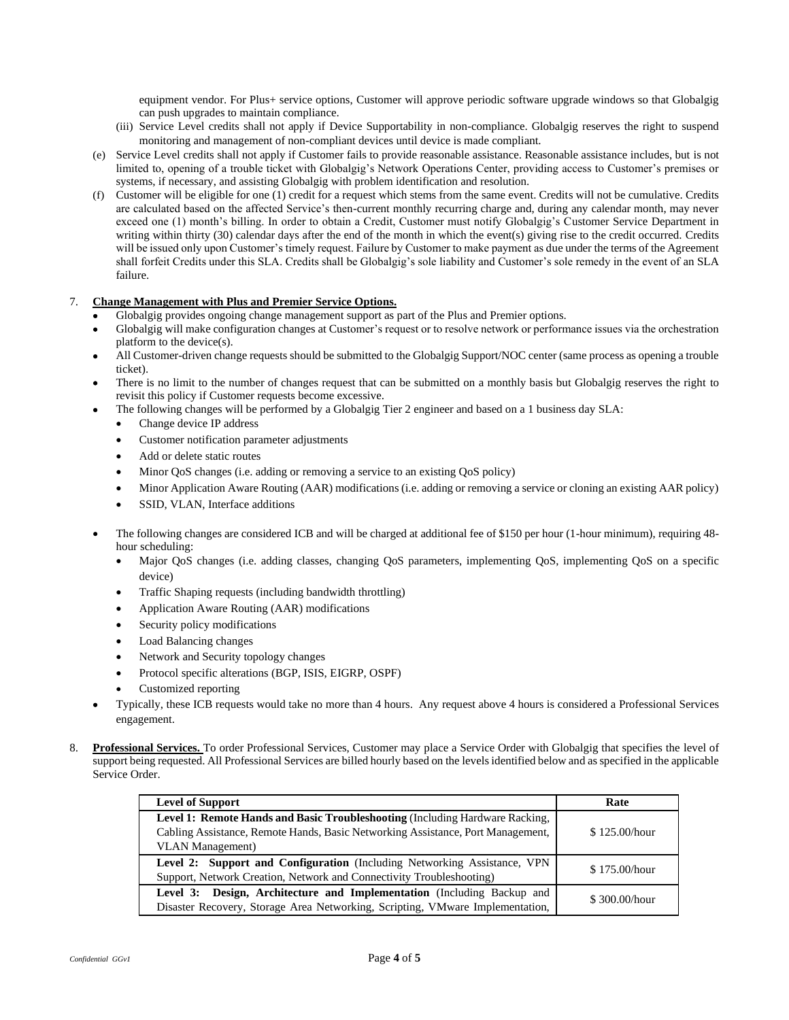equipment vendor. For Plus+ service options, Customer will approve periodic software upgrade windows so that Globalgig can push upgrades to maintain compliance.

- (iii) Service Level credits shall not apply if Device Supportability in non-compliance. Globalgig reserves the right to suspend monitoring and management of non-compliant devices until device is made compliant.
- (e) Service Level credits shall not apply if Customer fails to provide reasonable assistance. Reasonable assistance includes, but is not limited to, opening of a trouble ticket with Globalgig's Network Operations Center, providing access to Customer's premises or systems, if necessary, and assisting Globalgig with problem identification and resolution.
- (f) Customer will be eligible for one (1) credit for a request which stems from the same event. Credits will not be cumulative. Credits are calculated based on the affected Service's then-current monthly recurring charge and, during any calendar month, may never exceed one (1) month's billing. In order to obtain a Credit, Customer must notify Globalgig's Customer Service Department in writing within thirty (30) calendar days after the end of the month in which the event(s) giving rise to the credit occurred. Credits will be issued only upon Customer's timely request. Failure by Customer to make payment as due under the terms of the Agreement shall forfeit Credits under this SLA. Credits shall be Globalgig's sole liability and Customer's sole remedy in the event of an SLA failure.

# 7. **Change Management with Plus and Premier Service Options.**

- Globalgig provides ongoing change management support as part of the Plus and Premier options.
- Globalgig will make configuration changes at Customer's request or to resolve network or performance issues via the orchestration platform to the device(s).
- All Customer-driven change requests should be submitted to the Globalgig Support/NOC center (same process as opening a trouble ticket).
- There is no limit to the number of changes request that can be submitted on a monthly basis but Globalgig reserves the right to revisit this policy if Customer requests become excessive.
- The following changes will be performed by a Globalgig Tier 2 engineer and based on a 1 business day SLA:
	- Change device IP address
	- Customer notification parameter adjustments
	- Add or delete static routes
	- Minor QoS changes (i.e. adding or removing a service to an existing QoS policy)
	- Minor Application Aware Routing (AAR) modifications (i.e. adding or removing a service or cloning an existing AAR policy)
	- SSID, VLAN, Interface additions
- The following changes are considered ICB and will be charged at additional fee of \$150 per hour (1-hour minimum), requiring 48 hour scheduling:
	- Major QoS changes (i.e. adding classes, changing QoS parameters, implementing QoS, implementing QoS on a specific device)
	- Traffic Shaping requests (including bandwidth throttling)
	- Application Aware Routing (AAR) modifications
	- Security policy modifications
	- Load Balancing changes
	- Network and Security topology changes
	- Protocol specific alterations (BGP, ISIS, EIGRP, OSPF)
	- Customized reporting
- Typically, these ICB requests would take no more than 4 hours. Any request above 4 hours is considered a Professional Services engagement.
- 8. **Professional Services.** To order Professional Services, Customer may place a Service Order with Globalgig that specifies the level of support being requested. All Professional Services are billed hourly based on the levels identified below and as specified in the applicable Service Order.

| <b>Level of Support</b>                                                         | Rate          |  |
|---------------------------------------------------------------------------------|---------------|--|
| Level 1: Remote Hands and Basic Troubleshooting (Including Hardware Racking,    |               |  |
| Cabling Assistance, Remote Hands, Basic Networking Assistance, Port Management, | \$125.00/hour |  |
| <b>VLAN</b> Management)                                                         |               |  |
| Level 2: Support and Configuration (Including Networking Assistance, VPN        | \$175.00/hour |  |
| Support, Network Creation, Network and Connectivity Troubleshooting)            |               |  |
| Level 3: Design, Architecture and Implementation (Including Backup and          | \$300,00/hour |  |
| Disaster Recovery, Storage Area Networking, Scripting, VMware Implementation,   |               |  |